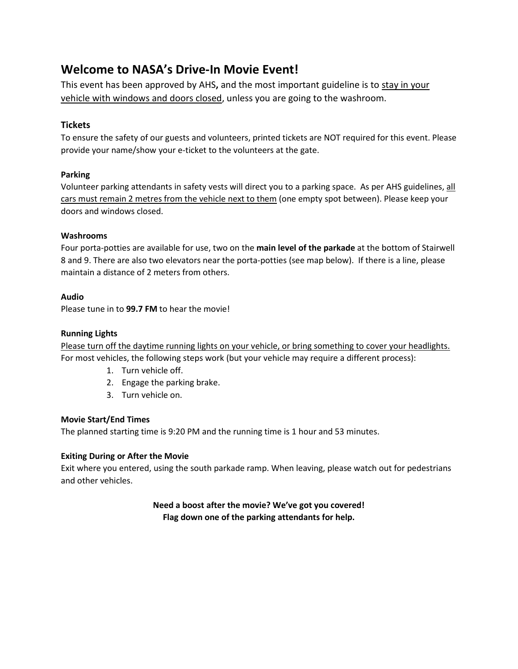# **Welcome to NASA's Drive-In Movie Event!**

This event has been approved by AHS**,** and the most important guideline is to stay in your vehicle with windows and doors closed, unless you are going to the washroom.

## **Tickets**

To ensure the safety of our guests and volunteers, printed tickets are NOT required for this event. Please provide your name/show your e-ticket to the volunteers at the gate.

## **Parking**

Volunteer parking attendants in safety vests will direct you to a parking space. As per AHS guidelines, all cars must remain 2 metres from the vehicle next to them (one empty spot between). Please keep your doors and windows closed.

## **Washrooms**

Four porta-potties are available for use, two on the **main level of the parkade** at the bottom of Stairwell 8 and 9. There are also two elevators near the porta-potties (see map below). If there is a line, please maintain a distance of 2 meters from others.

## **Audio**

Please tune in to **99.7 FM** to hear the movie!

## **Running Lights**

Please turn off the daytime running lights on your vehicle, or bring something to cover your headlights. For most vehicles, the following steps work (but your vehicle may require a different process):

- 1. Turn vehicle off.
- 2. Engage the parking brake.
- 3. Turn vehicle on.

#### **Movie Start/End Times**

The planned starting time is 9:20 PM and the running time is 1 hour and 53 minutes.

#### **Exiting During or After the Movie**

Exit where you entered, using the south parkade ramp. When leaving, please watch out for pedestrians and other vehicles.

> **Need a boost after the movie? We've got you covered! Flag down one of the parking attendants for help.**